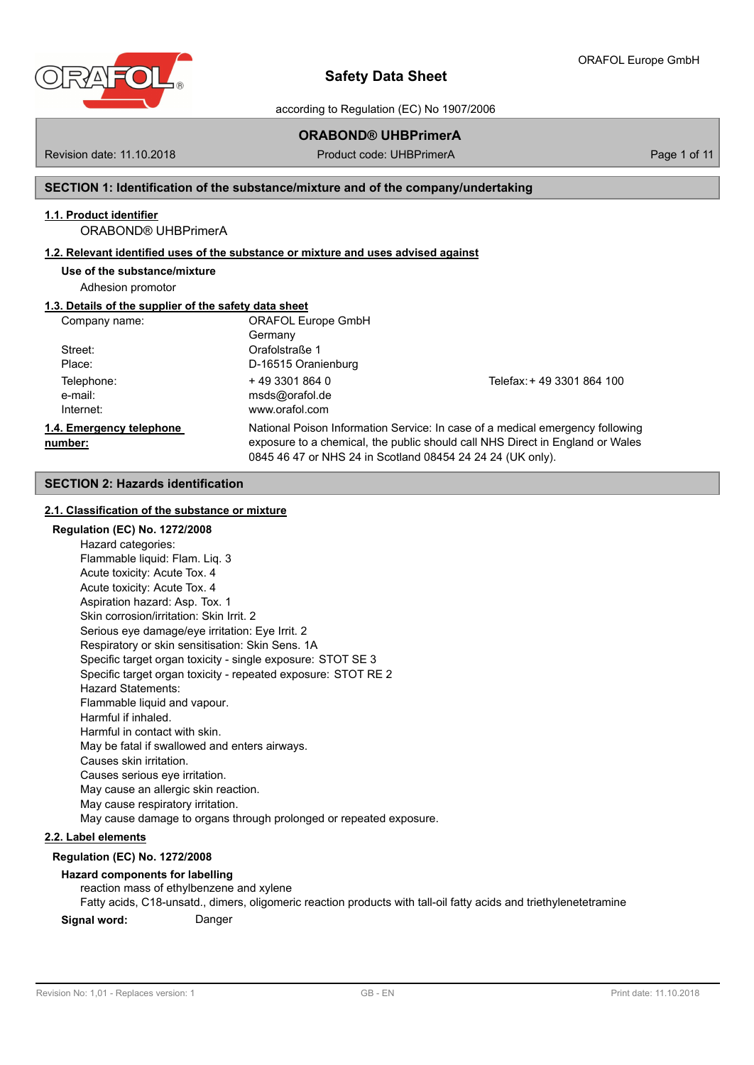

according to Regulation (EC) No 1907/2006

# **ORABOND® UHBPrimerA**

Revision date: 11.10.2018 **Product code: UHBPrimerA** Page 1 of 11

# **SECTION 1: Identification of the substance/mixture and of the company/undertaking**

# **1.1. Product identifier**

# ORABOND® UHBPrimerA

# **1.2. Relevant identified uses of the substance or mixture and uses advised against**

**Use of the substance/mixture**

Adhesion promotor

# **1.3. Details of the supplier of the safety data sheet**

| Company name:            | <b>ORAFOL Europe GmbH</b>                                  |                                                                               |  |  |
|--------------------------|------------------------------------------------------------|-------------------------------------------------------------------------------|--|--|
|                          | Germany                                                    |                                                                               |  |  |
| Street:                  | Orafolstraße 1                                             |                                                                               |  |  |
| Place:                   | D-16515 Oranienburg                                        |                                                                               |  |  |
| Telephone:               | $+4933018640$                                              | Telefax: + 49 3301 864 100                                                    |  |  |
| e-mail:                  | msds@orafol.de                                             |                                                                               |  |  |
| Internet:                | www.orafol.com                                             |                                                                               |  |  |
| 1.4. Emergency telephone |                                                            | National Poison Information Service: In case of a medical emergency following |  |  |
| number:                  |                                                            | exposure to a chemical, the public should call NHS Direct in England or Wales |  |  |
|                          | 0845 46 47 or NHS 24 in Scotland 08454 24 24 24 (UK only). |                                                                               |  |  |

# **SECTION 2: Hazards identification**

## **2.1. Classification of the substance or mixture**

## **Regulation (EC) No. 1272/2008**

Hazard categories: Flammable liquid: Flam. Liq. 3 Acute toxicity: Acute Tox. 4 Acute toxicity: Acute Tox. 4 Aspiration hazard: Asp. Tox. 1 Skin corrosion/irritation: Skin Irrit. 2 Serious eye damage/eye irritation: Eye Irrit. 2 Respiratory or skin sensitisation: Skin Sens. 1A Specific target organ toxicity - single exposure: STOT SE 3 Specific target organ toxicity - repeated exposure: STOT RE 2 Hazard Statements: Flammable liquid and vapour. Harmful if inhaled. Harmful in contact with skin. May be fatal if swallowed and enters airways. Causes skin irritation. Causes serious eye irritation. May cause an allergic skin reaction. May cause respiratory irritation. May cause damage to organs through prolonged or repeated exposure.

## **2.2. Label elements**

# **Regulation (EC) No. 1272/2008**

# **Hazard components for labelling**

reaction mass of ethylbenzene and xylene

Fatty acids, C18-unsatd., dimers, oligomeric reaction products with tall-oil fatty acids and triethylenetetramine

**Signal word:** Danger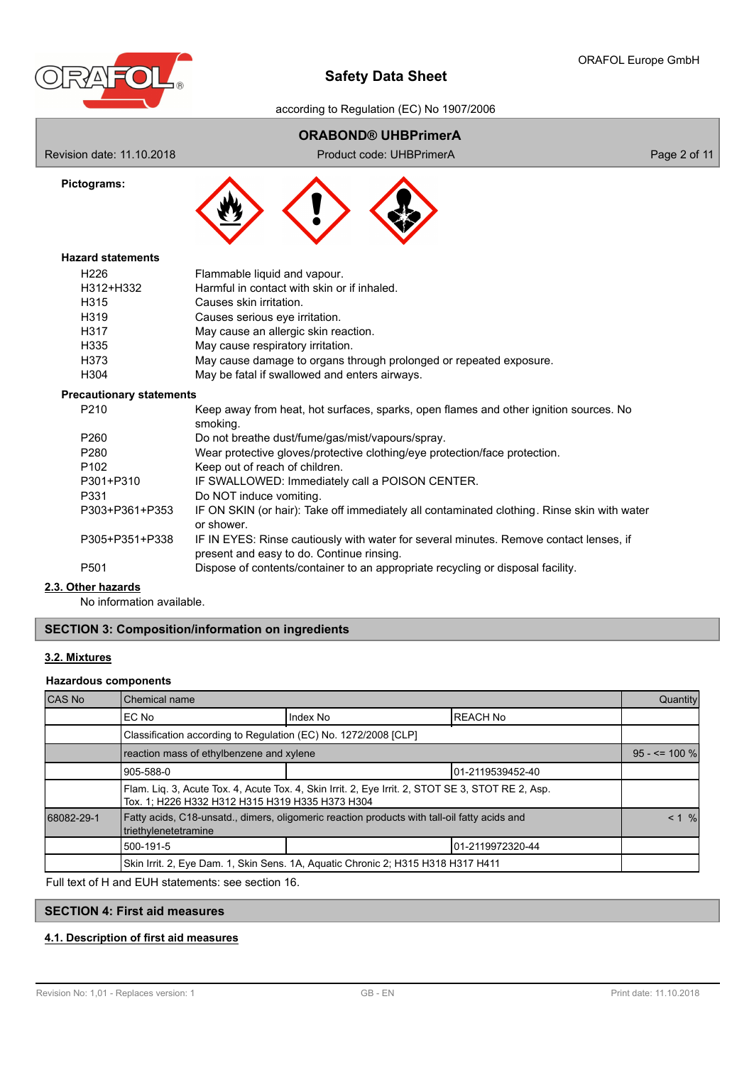

according to Regulation (EC) No 1907/2006

# **ORABOND® UHBPrimerA**

Revision date: 11.10.2018 **Product code: UHBPrimerA** Page 2 of 11





# **Hazard statements**

| H <sub>226</sub> | Flammable liquid and vapour.                                       |
|------------------|--------------------------------------------------------------------|
| H312+H332        | Harmful in contact with skin or if inhaled.                        |
| H315             | Causes skin irritation.                                            |
| H319             | Causes serious eye irritation.                                     |
| H317             | May cause an allergic skin reaction.                               |
| H335             | May cause respiratory irritation.                                  |
| H373             | May cause damage to organs through prolonged or repeated exposure. |
| H <sub>304</sub> | May be fatal if swallowed and enters airways.                      |

### **Precautionary statements**

| P <sub>210</sub>      | Keep away from heat, hot surfaces, sparks, open flames and other ignition sources. No<br>smoking.                                   |
|-----------------------|-------------------------------------------------------------------------------------------------------------------------------------|
| P <sub>260</sub>      | Do not breathe dust/fume/gas/mist/vapours/spray.                                                                                    |
| P <sub>280</sub>      | Wear protective gloves/protective clothing/eye protection/face protection.                                                          |
| P <sub>102</sub>      | Keep out of reach of children.                                                                                                      |
| P301+P310             | IF SWALLOWED: Immediately call a POISON CENTER.                                                                                     |
| P331                  | Do NOT induce vomiting.                                                                                                             |
| P303+P361+P353        | IF ON SKIN (or hair): Take off immediately all contaminated clothing. Rinse skin with water<br>or shower.                           |
| P305+P351+P338        | IF IN EYES: Rinse cautiously with water for several minutes. Remove contact lenses, if<br>present and easy to do. Continue rinsing. |
| P <sub>501</sub>      | Dispose of contents/container to an appropriate recycling or disposal facility.                                                     |
| دامير مدمر ملبس مرابة |                                                                                                                                     |

# **2.3. Other hazards**

No information available.

## **SECTION 3: Composition/information on ingredients**

## **3.2. Mixtures**

### **Hazardous components**

| CAS No     | Chemical name                                                                                                                                        |                  |                 | Quantity          |
|------------|------------------------------------------------------------------------------------------------------------------------------------------------------|------------------|-----------------|-------------------|
|            | Index No<br>IEC No                                                                                                                                   |                  | <b>REACH No</b> |                   |
|            | Classification according to Regulation (EC) No. 1272/2008 [CLP]                                                                                      |                  |                 |                   |
|            | reaction mass of ethylbenzene and xylene                                                                                                             |                  |                 | $95 - 5 = 100 \%$ |
|            | 1905-588-0                                                                                                                                           | 01-2119539452-40 |                 |                   |
|            | Flam. Liq. 3, Acute Tox. 4, Acute Tox. 4, Skin Irrit. 2, Eye Irrit. 2, STOT SE 3, STOT RE 2, Asp.<br>Tox. 1; H226 H332 H312 H315 H319 H335 H373 H304 |                  |                 |                   |
| 68082-29-1 | Fatty acids, C18-unsatd., dimers, oligomeric reaction products with tall-oil fatty acids and<br>triethylenetetramine                                 |                  |                 | < 1 %             |
|            | 500-191-5                                                                                                                                            | 01-2119972320-44 |                 |                   |
|            | Skin Irrit. 2, Eye Dam. 1, Skin Sens. 1A, Aquatic Chronic 2; H315 H318 H317 H411                                                                     |                  |                 |                   |

Full text of H and EUH statements: see section 16.

# **SECTION 4: First aid measures**

# **4.1. Description of first aid measures**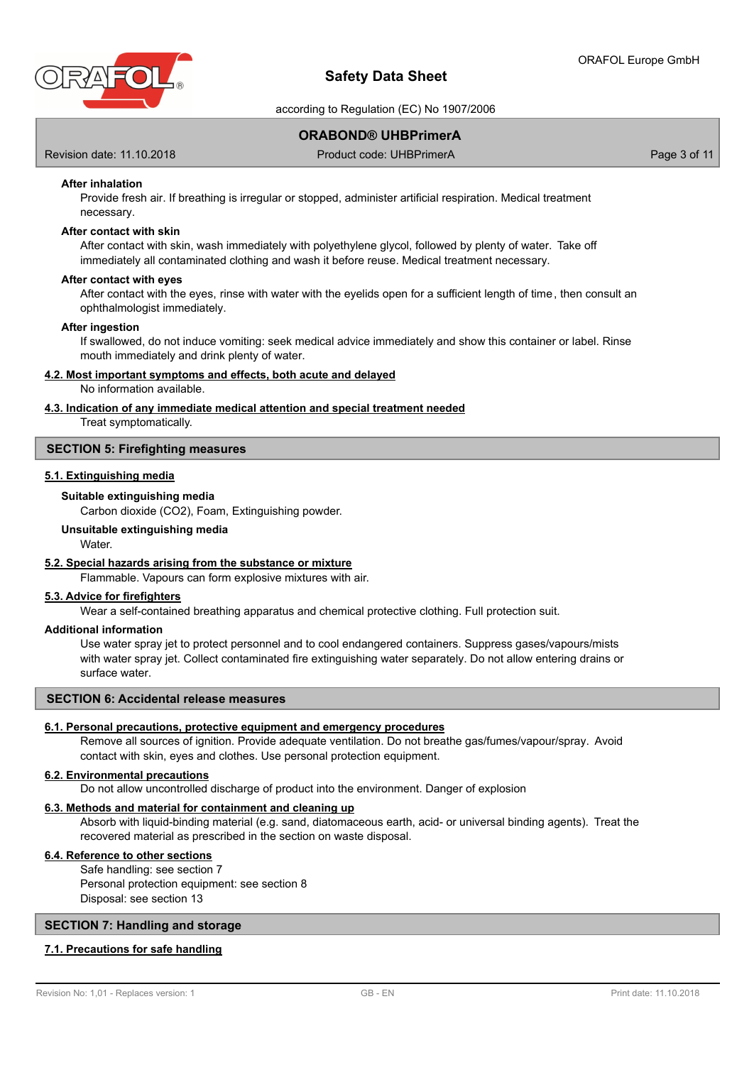

according to Regulation (EC) No 1907/2006

## **ORABOND® UHBPrimerA**

Revision date: 11.10.2018 **Product code: UHBPrimerA** Page 3 of 11

### **After inhalation**

Provide fresh air. If breathing is irregular or stopped, administer artificial respiration. Medical treatment necessary.

### **After contact with skin**

After contact with skin, wash immediately with polyethylene glycol, followed by plenty of water. Take off immediately all contaminated clothing and wash it before reuse. Medical treatment necessary.

#### **After contact with eyes**

After contact with the eyes, rinse with water with the eyelids open for a sufficient length of time, then consult an ophthalmologist immediately.

#### **After ingestion**

If swallowed, do not induce vomiting: seek medical advice immediately and show this container or label. Rinse mouth immediately and drink plenty of water.

#### **4.2. Most important symptoms and effects, both acute and delayed**

No information available.

#### **4.3. Indication of any immediate medical attention and special treatment needed**

Treat symptomatically.

### **SECTION 5: Firefighting measures**

## **5.1. Extinguishing media**

### **Suitable extinguishing media**

Carbon dioxide (CO2), Foam, Extinguishing powder.

**Unsuitable extinguishing media**

**Water** 

### **5.2. Special hazards arising from the substance or mixture**

Flammable. Vapours can form explosive mixtures with air.

## **5.3. Advice for firefighters**

Wear a self-contained breathing apparatus and chemical protective clothing. Full protection suit.

### **Additional information**

Use water spray jet to protect personnel and to cool endangered containers. Suppress gases/vapours/mists with water spray jet. Collect contaminated fire extinguishing water separately. Do not allow entering drains or surface water.

#### **SECTION 6: Accidental release measures**

#### **6.1. Personal precautions, protective equipment and emergency procedures**

Remove all sources of ignition. Provide adequate ventilation. Do not breathe gas/fumes/vapour/spray. Avoid contact with skin, eyes and clothes. Use personal protection equipment.

#### **6.2. Environmental precautions**

Do not allow uncontrolled discharge of product into the environment. Danger of explosion

### **6.3. Methods and material for containment and cleaning up**

Absorb with liquid-binding material (e.g. sand, diatomaceous earth, acid- or universal binding agents). Treat the recovered material as prescribed in the section on waste disposal.

### **6.4. Reference to other sections**

Safe handling: see section 7 Personal protection equipment: see section 8 Disposal: see section 13

#### **SECTION 7: Handling and storage**

### **7.1. Precautions for safe handling**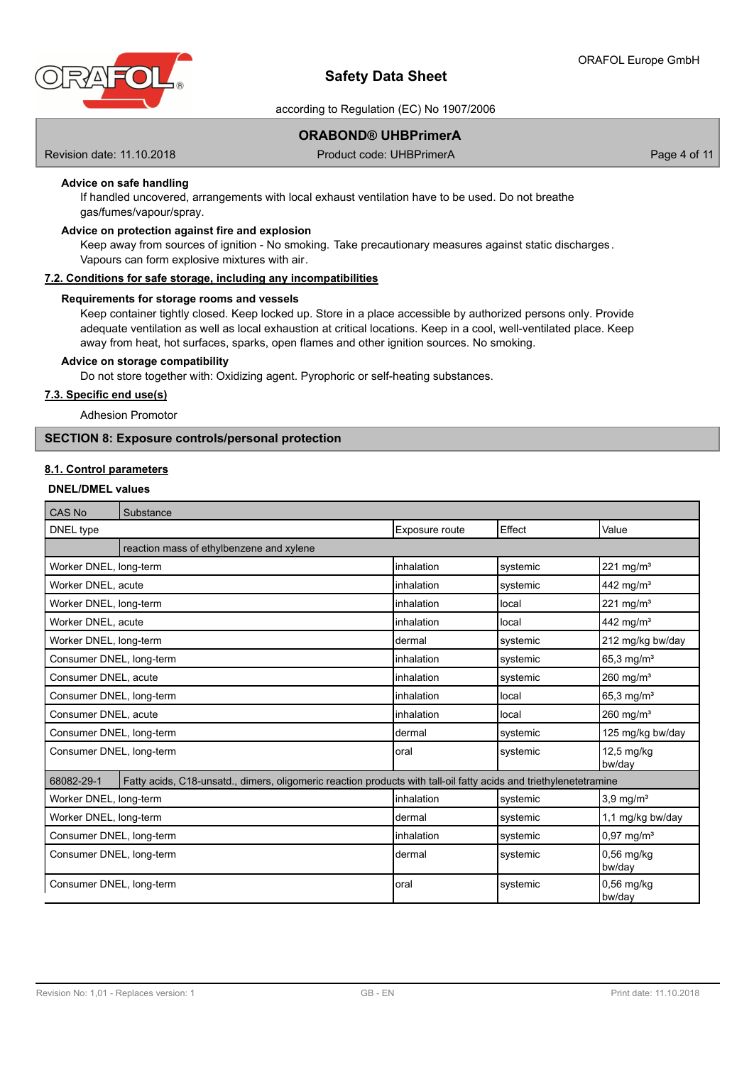

according to Regulation (EC) No 1907/2006

## **ORABOND® UHBPrimerA**

Revision date: 11.10.2018 **Product code: UHBPrimerA** Page 4 of 11

## **Advice on safe handling**

If handled uncovered, arrangements with local exhaust ventilation have to be used. Do not breathe gas/fumes/vapour/spray.

## **Advice on protection against fire and explosion**

Keep away from sources of ignition - No smoking. Take precautionary measures against static discharges. Vapours can form explosive mixtures with air.

#### **7.2. Conditions for safe storage, including any incompatibilities**

### **Requirements for storage rooms and vessels**

Keep container tightly closed. Keep locked up. Store in a place accessible by authorized persons only. Provide adequate ventilation as well as local exhaustion at critical locations. Keep in a cool, well-ventilated place. Keep away from heat, hot surfaces, sparks, open flames and other ignition sources. No smoking.

### **Advice on storage compatibility**

Do not store together with: Oxidizing agent. Pyrophoric or self-heating substances.

### **7.3. Specific end use(s)**

Adhesion Promotor

## **SECTION 8: Exposure controls/personal protection**

### **8.1. Control parameters**

## **DNEL/DMEL values**

| CAS No                   | Substance                                                                                                         |                |          |                          |
|--------------------------|-------------------------------------------------------------------------------------------------------------------|----------------|----------|--------------------------|
| DNEL type                |                                                                                                                   | Exposure route | Effect   | Value                    |
|                          | reaction mass of ethylbenzene and xylene                                                                          |                |          |                          |
| Worker DNEL, long-term   |                                                                                                                   | inhalation     | systemic | $221$ mg/m <sup>3</sup>  |
| Worker DNEL, acute       |                                                                                                                   | linhalation    | systemic | 442 mg/m <sup>3</sup>    |
| Worker DNEL, long-term   |                                                                                                                   | linhalation    | local    | $221$ mg/m <sup>3</sup>  |
| Worker DNEL, acute       |                                                                                                                   | linhalation    | local    | 442 mg/m <sup>3</sup>    |
| Worker DNEL, long-term   |                                                                                                                   | dermal         | systemic | 212 mg/kg bw/day         |
| Consumer DNEL, long-term |                                                                                                                   | linhalation    | systemic | 65,3 mg/ $m^3$           |
| Consumer DNEL, acute     |                                                                                                                   | inhalation     | systemic | $260$ mg/m <sup>3</sup>  |
| Consumer DNEL, long-term |                                                                                                                   | inhalation     | local    | $65,3 \,\mathrm{mg/m^3}$ |
| Consumer DNEL, acute     |                                                                                                                   | linhalation    | local    | 260 mg/m <sup>3</sup>    |
| Consumer DNEL, long-term |                                                                                                                   | Idermal        | systemic | 125 mg/kg bw/day         |
| Consumer DNEL, long-term |                                                                                                                   | loral          | systemic | $12,5$ mg/kg<br>bw/day   |
| 68082-29-1               | Fatty acids, C18-unsatd., dimers, oligomeric reaction products with tall-oil fatty acids and triethylenetetramine |                |          |                          |
| Worker DNEL, long-term   |                                                                                                                   | linhalation    | systemic | $3,9$ mg/m <sup>3</sup>  |
| Worker DNEL, long-term   |                                                                                                                   | Idermal        | systemic | 1,1 mg/kg bw/day         |
| Consumer DNEL, long-term |                                                                                                                   | inhalation     | systemic | $0.97$ mg/m <sup>3</sup> |
| Consumer DNEL, long-term |                                                                                                                   | Idermal        | systemic | 0,56 mg/kg<br>bw/day     |
| Consumer DNEL, long-term |                                                                                                                   | loral          | systemic | 0,56 mg/kg<br>bw/day     |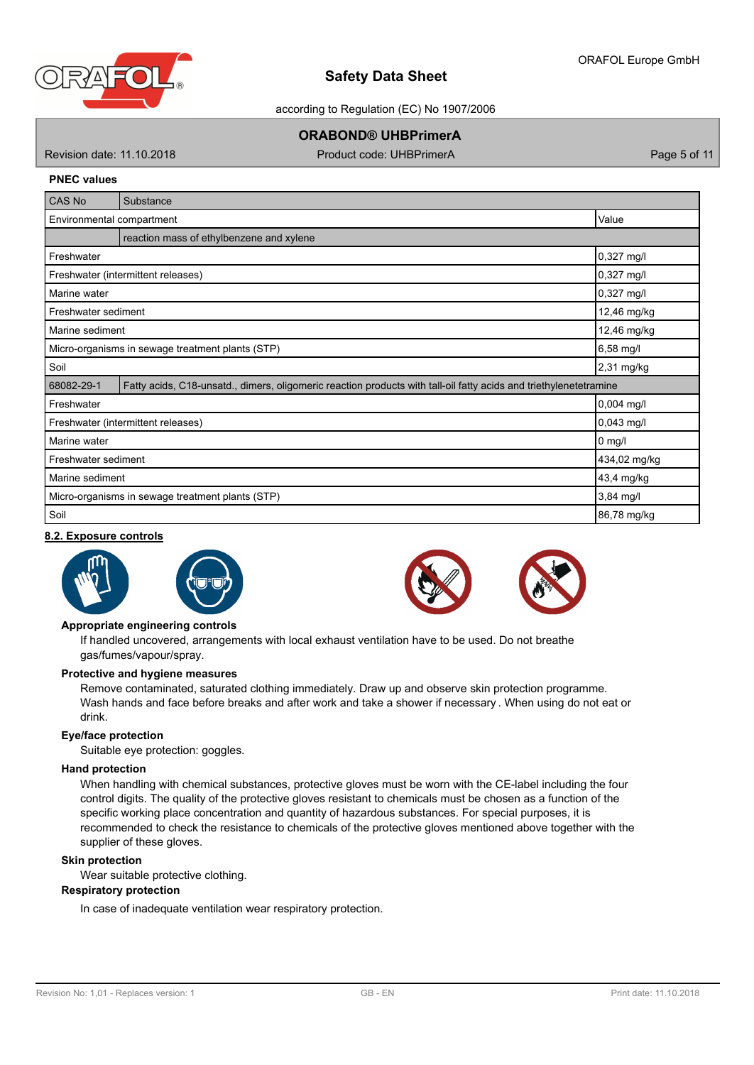

according to Regulation (EC) No 1907/2006

# **ORABOND® UHBPrimerA**

Revision date: 11.10.2018 **Product code: UHBPrimerA** Page 5 of 11

#### **PNEC values**

| CAS No                                                                                                                          | Substance                                          |                      |  |
|---------------------------------------------------------------------------------------------------------------------------------|----------------------------------------------------|----------------------|--|
|                                                                                                                                 | Value<br>Environmental compartment                 |                      |  |
|                                                                                                                                 | reaction mass of ethylbenzene and xylene           |                      |  |
| Freshwater                                                                                                                      |                                                    | 0,327 mg/l           |  |
|                                                                                                                                 | Freshwater (intermittent releases)                 | 0,327 mg/l           |  |
| Marine water                                                                                                                    |                                                    | $0,327 \text{ mg/l}$ |  |
| Freshwater sediment                                                                                                             |                                                    | 12,46 mg/kg          |  |
| Marine sediment                                                                                                                 |                                                    | 12,46 mg/kg          |  |
| 6,58 mg/l<br>Micro-organisms in sewage treatment plants (STP)                                                                   |                                                    |                      |  |
| Soil<br>2,31 mg/kg                                                                                                              |                                                    |                      |  |
| 68082-29-1<br>Fatty acids, C18-unsatd., dimers, oligomeric reaction products with tall-oil fatty acids and triethylenetetramine |                                                    |                      |  |
| Freshwater                                                                                                                      |                                                    | $0,004$ mg/l         |  |
|                                                                                                                                 | $0,043$ mg/l<br>Freshwater (intermittent releases) |                      |  |
| Marine water                                                                                                                    |                                                    | $0$ mg/l             |  |
| Freshwater sediment                                                                                                             |                                                    | 434,02 mg/kg         |  |
| Marine sediment                                                                                                                 |                                                    | 43,4 mg/kg           |  |
| $3,84$ mg/l<br>Micro-organisms in sewage treatment plants (STP)                                                                 |                                                    |                      |  |
| Soil                                                                                                                            | 86,78 mg/kg                                        |                      |  |

### **8.2. Exposure controls**







#### **Appropriate engineering controls**

If handled uncovered, arrangements with local exhaust ventilation have to be used. Do not breathe gas/fumes/vapour/spray.

### **Protective and hygiene measures**

Remove contaminated, saturated clothing immediately. Draw up and observe skin protection programme. Wash hands and face before breaks and after work and take a shower if necessary . When using do not eat or drink.

#### **Eye/face protection**

Suitable eye protection: goggles.

#### **Hand protection**

When handling with chemical substances, protective gloves must be worn with the CE-label including the four control digits. The quality of the protective gloves resistant to chemicals must be chosen as a function of the specific working place concentration and quantity of hazardous substances. For special purposes, it is recommended to check the resistance to chemicals of the protective gloves mentioned above together with the supplier of these gloves.

#### **Skin protection**

Wear suitable protective clothing.

### **Respiratory protection**

In case of inadequate ventilation wear respiratory protection.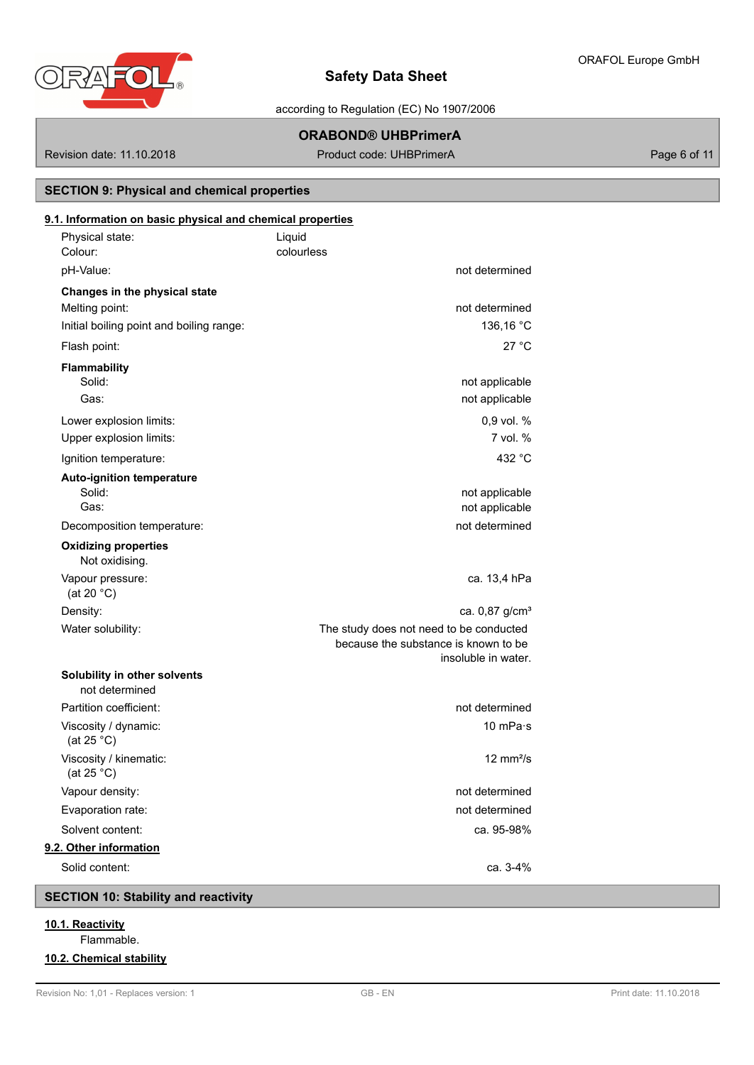

according to Regulation (EC) No 1907/2006

# **ORABOND® UHBPrimerA**

Revision date: 11.10.2018 **Product code: UHBPrimerA** Page 6 of 11

# **SECTION 9: Physical and chemical properties**

| 9.1. Information on basic physical and chemical properties<br>Physical state:<br>Colour: | Liquid<br>colourless                                                                                   |
|------------------------------------------------------------------------------------------|--------------------------------------------------------------------------------------------------------|
| pH-Value:                                                                                |                                                                                                        |
|                                                                                          | not determined                                                                                         |
| Changes in the physical state<br>Melting point:                                          |                                                                                                        |
| Initial boiling point and boiling range:                                                 | not determined<br>136,16 °C                                                                            |
| Flash point:                                                                             | 27 °C                                                                                                  |
|                                                                                          |                                                                                                        |
| Flammability<br>Solid:                                                                   | not applicable                                                                                         |
| Gas:                                                                                     | not applicable                                                                                         |
| Lower explosion limits:                                                                  | 0,9 vol. %                                                                                             |
| Upper explosion limits:                                                                  | 7 vol. %                                                                                               |
| Ignition temperature:                                                                    | 432 °C                                                                                                 |
| <b>Auto-ignition temperature</b>                                                         |                                                                                                        |
| Solid:                                                                                   | not applicable                                                                                         |
| Gas:                                                                                     | not applicable                                                                                         |
| Decomposition temperature:                                                               | not determined                                                                                         |
| <b>Oxidizing properties</b><br>Not oxidising.                                            |                                                                                                        |
| Vapour pressure:<br>(at 20 $°C$ )                                                        | ca. 13,4 hPa                                                                                           |
| Density:                                                                                 | ca. 0,87 g/cm <sup>3</sup>                                                                             |
| Water solubility:                                                                        | The study does not need to be conducted<br>because the substance is known to be<br>insoluble in water. |
| Solubility in other solvents<br>not determined                                           |                                                                                                        |
| Partition coefficient:                                                                   | not determined                                                                                         |
| Viscosity / dynamic:<br>(at 25 $°C$ )                                                    | 10 mPa·s                                                                                               |
| Viscosity / kinematic:<br>(at 25 °C)                                                     | $12 \text{ mm}^2/\text{s}$                                                                             |
| Vapour density:                                                                          | not determined                                                                                         |
| Evaporation rate:                                                                        | not determined                                                                                         |
| Solvent content:                                                                         | ca. 95-98%                                                                                             |
| 9.2. Other information                                                                   |                                                                                                        |
| Solid content:                                                                           | ca. 3-4%                                                                                               |

# **SECTION 10: Stability and reactivity**

- **10.1. Reactivity**
	- Flammable.

## **10.2. Chemical stability**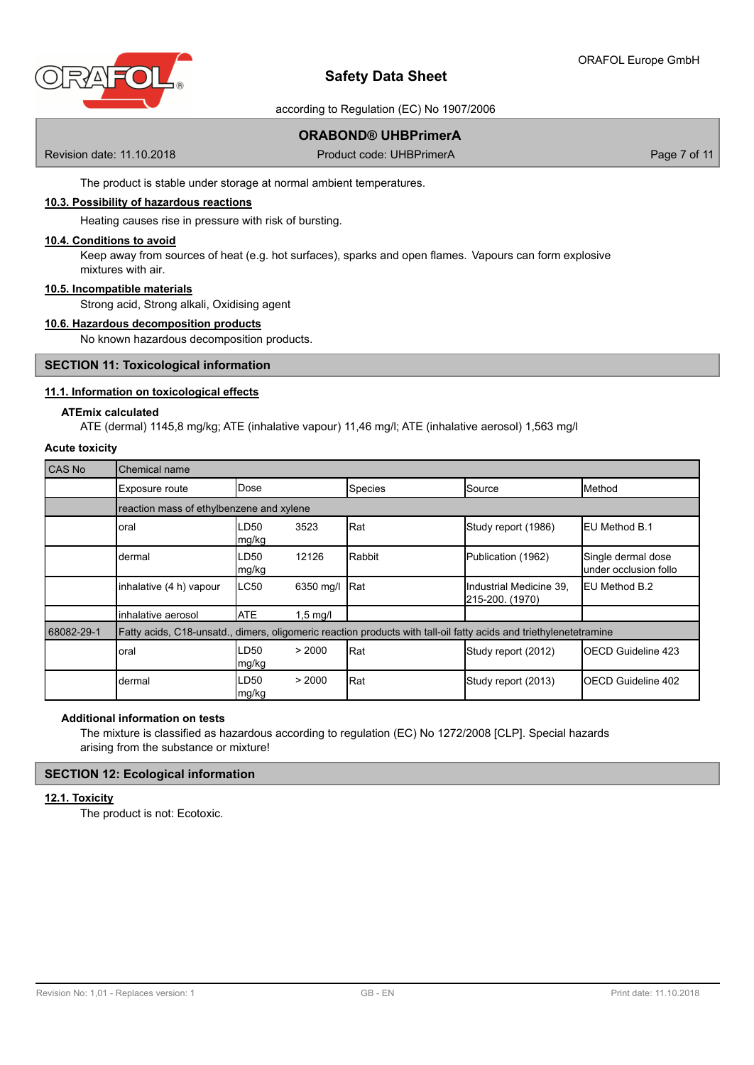

according to Regulation (EC) No 1907/2006

# **ORABOND® UHBPrimerA**

Revision date: 11.10.2018 **Product code: UHBPrimerA** Page 7 of 11

The product is stable under storage at normal ambient temperatures.

### **10.3. Possibility of hazardous reactions**

Heating causes rise in pressure with risk of bursting.

#### **10.4. Conditions to avoid**

Keep away from sources of heat (e.g. hot surfaces), sparks and open flames. Vapours can form explosive mixtures with air.

#### **10.5. Incompatible materials**

Strong acid, Strong alkali, Oxidising agent

### **10.6. Hazardous decomposition products**

No known hazardous decomposition products.

#### **SECTION 11: Toxicological information**

### **11.1. Information on toxicological effects**

#### **ATEmix calculated**

ATE (dermal) 1145,8 mg/kg; ATE (inhalative vapour) 11,46 mg/l; ATE (inhalative aerosol) 1,563 mg/l

## **Acute toxicity**

| <b>CAS No</b> | Chemical name                                                                                                     |                |                    |         |                                            |                                              |
|---------------|-------------------------------------------------------------------------------------------------------------------|----------------|--------------------|---------|--------------------------------------------|----------------------------------------------|
|               | Exposure route                                                                                                    | <b>IDose</b>   |                    | Species | Source                                     | <b>IMethod</b>                               |
|               | reaction mass of ethylbenzene and xylene                                                                          |                |                    |         |                                            |                                              |
|               | oral                                                                                                              | LD50<br>Img/kg | 3523               | Rat     | Study report (1986)                        | <b>IEU Method B.1</b>                        |
|               | dermal                                                                                                            | LD50<br>mg/kg  | 12126              | Rabbit  | Publication (1962)                         | Single dermal dose<br>lunder occlusion follo |
|               | inhalative (4 h) vapour                                                                                           | ILC50          | 6350 mg/l          | Rat     | Industrial Medicine 39,<br>215-200. (1970) | <b>IEU Method B.2</b>                        |
|               | inhalative aerosol                                                                                                | <b>ATE</b>     | $1,5 \text{ mg/l}$ |         |                                            |                                              |
| 68082-29-1    | Fatty acids, C18-unsatd., dimers, oligomeric reaction products with tall-oil fatty acids and triethylenetetramine |                |                    |         |                                            |                                              |
|               | oral                                                                                                              | LD50<br>mg/kg  | > 2000             | Rat     | Study report (2012)                        | <b>IOECD Guideline 423</b>                   |
|               | dermal                                                                                                            | LD50<br>mg/kg  | > 2000             | Rat     | Study report (2013)                        | <b>IOECD Guideline 402</b>                   |

## **Additional information on tests**

The mixture is classified as hazardous according to regulation (EC) No 1272/2008 [CLP]. Special hazards arising from the substance or mixture!

### **SECTION 12: Ecological information**

### **12.1. Toxicity**

The product is not: Ecotoxic.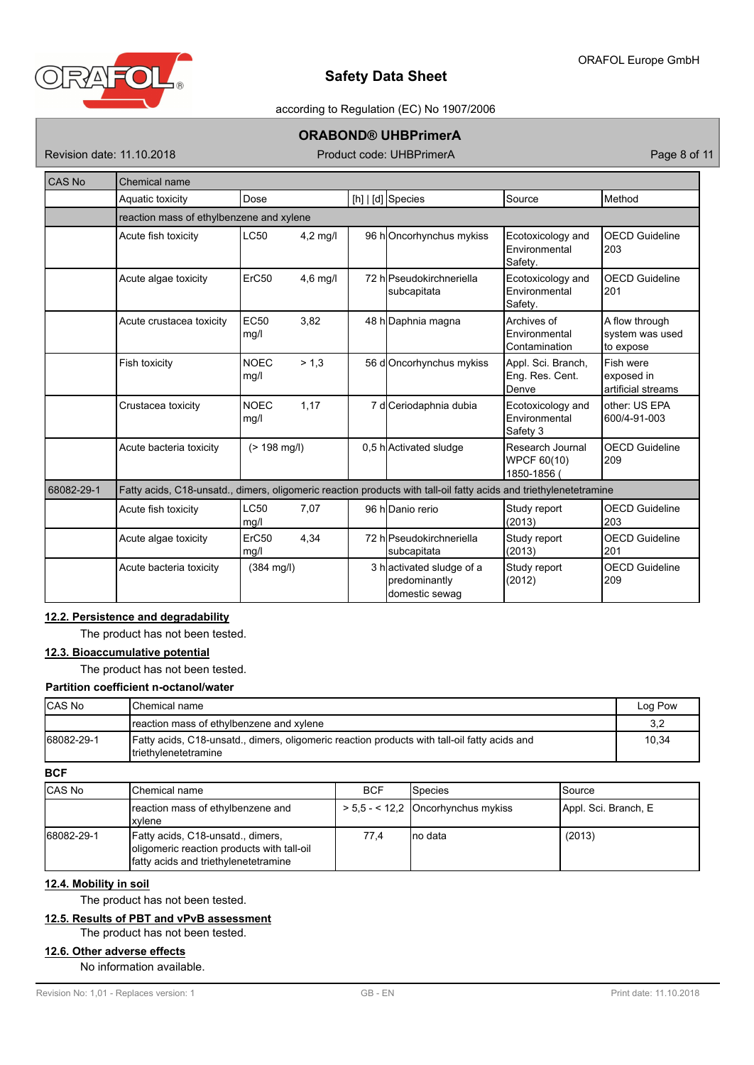

### according to Regulation (EC) No 1907/2006

## **ORABOND® UHBPrimerA**

Revision date: 11.10.2018 **Product code: UHBPrimerA** Page 8 of 11

| <b>CAS No</b> | <b>Chemical name</b>                                                                                              |                                          |            |  |                                                             |                                                |                                                |  |  |
|---------------|-------------------------------------------------------------------------------------------------------------------|------------------------------------------|------------|--|-------------------------------------------------------------|------------------------------------------------|------------------------------------------------|--|--|
|               | Aquatic toxicity                                                                                                  | Dose                                     |            |  | [h] $ d]$ Species                                           | Source                                         | Method                                         |  |  |
|               |                                                                                                                   | reaction mass of ethylbenzene and xylene |            |  |                                                             |                                                |                                                |  |  |
|               | Acute fish toxicity                                                                                               | <b>LC50</b>                              | $4,2$ mg/l |  | 96 hOncorhynchus mykiss                                     | Ecotoxicology and<br>Environmental<br>Safety.  | <b>OECD Guideline</b><br>203                   |  |  |
|               | Acute algae toxicity                                                                                              | ErC50                                    | $4,6$ mg/l |  | 72 h Pseudokirchneriella<br>subcapitata                     | Ecotoxicology and<br>Environmental<br>Safety.  | <b>OECD Guideline</b><br>201                   |  |  |
|               | Acute crustacea toxicity                                                                                          | <b>EC50</b><br>mg/l                      | 3,82       |  | 48 h Daphnia magna                                          | Archives of<br>Environmental<br>Contamination  | A flow through<br>system was used<br>to expose |  |  |
|               | Fish toxicity                                                                                                     | <b>NOEC</b><br>mg/l                      | > 1.3      |  | 56 d Oncorhynchus mykiss                                    | Appl. Sci. Branch,<br>Eng. Res. Cent.<br>Denve | Fish were<br>exposed in<br>artificial streams  |  |  |
|               | Crustacea toxicity                                                                                                | <b>NOEC</b><br>mg/l                      | 1,17       |  | 7 d Ceriodaphnia dubia                                      | Ecotoxicology and<br>Environmental<br>Safety 3 | other: US EPA<br>600/4-91-003                  |  |  |
|               | Acute bacteria toxicity                                                                                           | $(> 198$ mg/l)                           |            |  | 0,5 h Activated sludge                                      | Research Journal<br>WPCF 60(10)<br>1850-1856   | <b>OECD Guideline</b><br>209                   |  |  |
| 68082-29-1    | Fatty acids, C18-unsatd., dimers, oligomeric reaction products with tall-oil fatty acids and triethylenetetramine |                                          |            |  |                                                             |                                                |                                                |  |  |
|               | Acute fish toxicity                                                                                               | <b>LC50</b><br>mg/l                      | 7,07       |  | 96 h <sub>Danio</sub> rerio                                 | Study report<br>(2013)                         | <b>OECD Guideline</b><br>l203                  |  |  |
|               | Acute algae toxicity                                                                                              | ErC50<br>mg/l                            | 4,34       |  | 72 hlPseudokirchneriella<br>subcapitata                     | Study report<br>(2013)                         | <b>OECD Guideline</b><br>201                   |  |  |
|               | Acute bacteria toxicity                                                                                           | $(384 \text{ mg/l})$                     |            |  | 3 hactivated sludge of a<br>predominantly<br>domestic sewaq | Study report<br>(2012)                         | <b>OECD Guideline</b><br>209                   |  |  |

## **12.2. Persistence and degradability**

The product has not been tested.

## **12.3. Bioaccumulative potential**

The product has not been tested.

# **Partition coefficient n-octanol/water**

| ICAS No    | <b>I</b> Chemical name                                                                                                 | Log Pow |
|------------|------------------------------------------------------------------------------------------------------------------------|---------|
|            | reaction mass of ethylbenzene and xylene                                                                               | 3,2     |
| 68082-29-1 | [Fatty acids, C18-unsatd., dimers, oligomeric reaction products with tall-oil fatty acids and<br>Itriethylenetetramine | 10.34   |

**BCF**

| <b>CAS No</b> | <b>IChemical name</b>                                                                                                    | <b>BCF</b> | <b>I</b> Species                   | Source               |
|---------------|--------------------------------------------------------------------------------------------------------------------------|------------|------------------------------------|----------------------|
|               | reaction mass of ethylbenzene and<br>Ixvlene                                                                             |            | $> 5.5 - 12.2$ Oncorhynchus mykiss | Appl. Sci. Branch, E |
| 68082-29-1    | Fatty acids, C18-unsatd., dimers,<br>oligomeric reaction products with tall-oil<br>Ifatty acids and triethylenetetramine | 77,4       | Ino data                           | (2013)               |

## **12.4. Mobility in soil**

The product has not been tested.

# **12.5. Results of PBT and vPvB assessment**

The product has not been tested.

## **12.6. Other adverse effects**

No information available.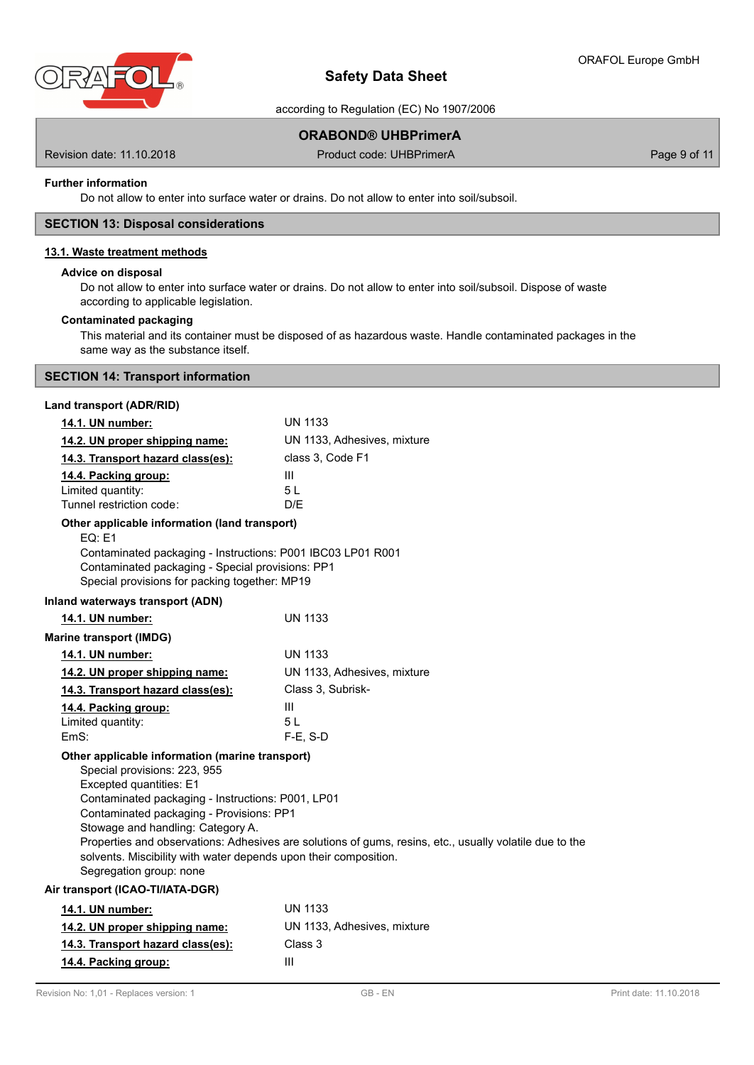

## ORAFOL Europe GmbH

# **Safety Data Sheet**

according to Regulation (EC) No 1907/2006

# **ORABOND® UHBPrimerA**

Revision date: 11.10.2018 **Product code: UHBPrimerA** Page 9 of 11

### **Further information**

Do not allow to enter into surface water or drains. Do not allow to enter into soil/subsoil.

### **SECTION 13: Disposal considerations**

## **13.1. Waste treatment methods**

## **Advice on disposal**

Do not allow to enter into surface water or drains. Do not allow to enter into soil/subsoil. Dispose of waste according to applicable legislation.

### **Contaminated packaging**

This material and its container must be disposed of as hazardous waste. Handle contaminated packages in the same way as the substance itself.

## **SECTION 14: Transport information**

### **Land transport (ADR/RID)**

| 14.1. UN number:                                                                                                                                                                                                                                                                                                                                | <b>UN 1133</b>                                                                                          |
|-------------------------------------------------------------------------------------------------------------------------------------------------------------------------------------------------------------------------------------------------------------------------------------------------------------------------------------------------|---------------------------------------------------------------------------------------------------------|
| 14.2. UN proper shipping name:                                                                                                                                                                                                                                                                                                                  | UN 1133, Adhesives, mixture                                                                             |
| 14.3. Transport hazard class(es):                                                                                                                                                                                                                                                                                                               | class 3, Code F1                                                                                        |
| 14.4. Packing group:                                                                                                                                                                                                                                                                                                                            | Ш                                                                                                       |
| Limited quantity:                                                                                                                                                                                                                                                                                                                               | 5 <sub>L</sub>                                                                                          |
| Tunnel restriction code:                                                                                                                                                                                                                                                                                                                        | D/E                                                                                                     |
| Other applicable information (land transport)<br><b>EQ: E1</b><br>Contaminated packaging - Instructions: P001 IBC03 LP01 R001<br>Contaminated packaging - Special provisions: PP1<br>Special provisions for packing together: MP19                                                                                                              |                                                                                                         |
| Inland waterways transport (ADN)                                                                                                                                                                                                                                                                                                                |                                                                                                         |
| 14.1. UN number:                                                                                                                                                                                                                                                                                                                                | <b>UN 1133</b>                                                                                          |
| <b>Marine transport (IMDG)</b>                                                                                                                                                                                                                                                                                                                  |                                                                                                         |
| 14.1. UN number:                                                                                                                                                                                                                                                                                                                                | <b>UN 1133</b>                                                                                          |
| 14.2. UN proper shipping name:                                                                                                                                                                                                                                                                                                                  | UN 1133, Adhesives, mixture                                                                             |
| 14.3. Transport hazard class(es):                                                                                                                                                                                                                                                                                                               | Class 3, Subrisk-                                                                                       |
| 14.4. Packing group:                                                                                                                                                                                                                                                                                                                            | Ш                                                                                                       |
| Limited quantity:                                                                                                                                                                                                                                                                                                                               | 5L                                                                                                      |
| EmS:                                                                                                                                                                                                                                                                                                                                            | $F-E$ , S-D                                                                                             |
| Other applicable information (marine transport)<br>Special provisions: 223, 955<br>Excepted quantities: E1<br>Contaminated packaging - Instructions: P001, LP01<br>Contaminated packaging - Provisions: PP1<br>Stowage and handling: Category A.<br>solvents. Miscibility with water depends upon their composition.<br>Segregation group: none | Properties and observations: Adhesives are solutions of gums, resins, etc., usually volatile due to the |
| Air transport (ICAO-TI/IATA-DGR)                                                                                                                                                                                                                                                                                                                |                                                                                                         |
| 14.1. UN number:                                                                                                                                                                                                                                                                                                                                | <b>UN 1133</b>                                                                                          |
| 14.2. UN proper shipping name:                                                                                                                                                                                                                                                                                                                  | UN 1133, Adhesives, mixture                                                                             |
| 14.3. Transport hazard class(es):                                                                                                                                                                                                                                                                                                               | Class 3                                                                                                 |
| 14.4. Packing group:                                                                                                                                                                                                                                                                                                                            | Ш                                                                                                       |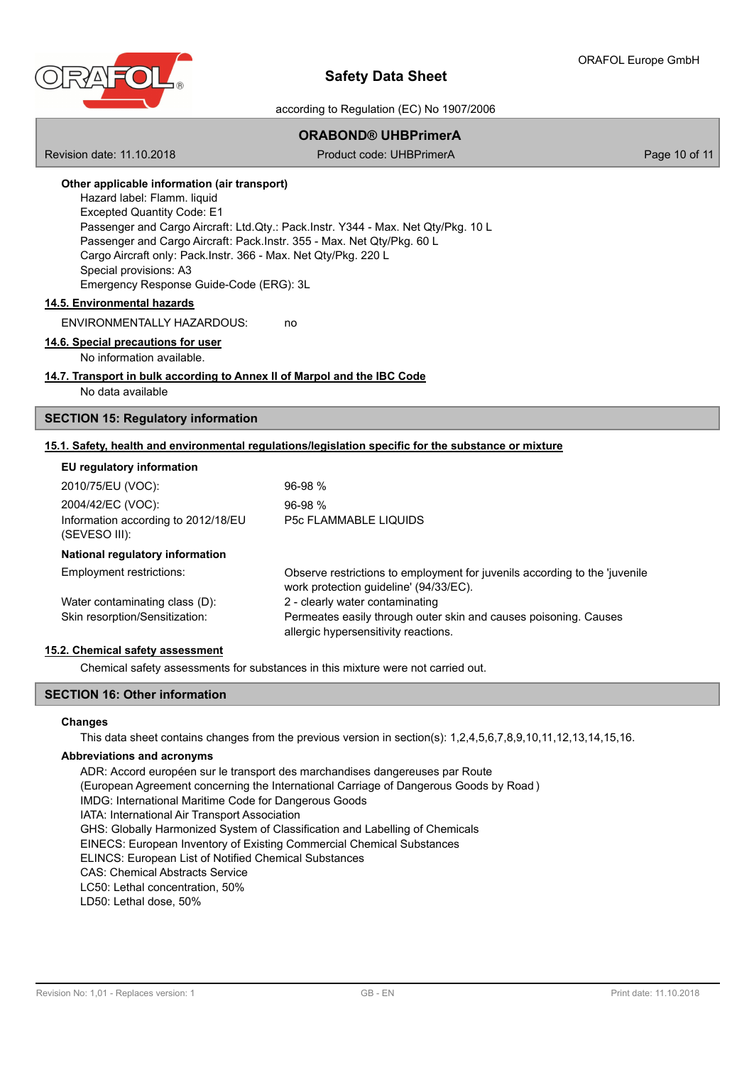

### according to Regulation (EC) No 1907/2006

# **ORABOND® UHBPrimerA**

Revision date: 11.10.2018 **Product code: UHBPrimerA** Page 10 of 11

## **Other applicable information (air transport)**

Hazard label: Flamm. liquid Excepted Quantity Code: E1 Passenger and Cargo Aircraft: Ltd.Qty.: Pack.Instr. Y344 - Max. Net Qty/Pkg. 10 L Passenger and Cargo Aircraft: Pack.Instr. 355 - Max. Net Qty/Pkg. 60 L Cargo Aircraft only: Pack.Instr. 366 - Max. Net Qty/Pkg. 220 L Special provisions: A3 Emergency Response Guide-Code (ERG): 3L

### **14.5. Environmental hazards**

ENVIRONMENTALLY HAZARDOUS: no

### **14.6. Special precautions for user**

No information available.

#### **14.7. Transport in bulk according to Annex II of Marpol and the IBC Code** No data available

## **SECTION 15: Regulatory information**

## **15.1. Safety, health and environmental regulations/legislation specific for the substance or mixture**

### **EU regulatory information**

| $96-98%$                                                                                                             |
|----------------------------------------------------------------------------------------------------------------------|
| $96-98%$                                                                                                             |
| <b>P5c FLAMMABLE LIQUIDS</b>                                                                                         |
|                                                                                                                      |
| Observe restrictions to employment for juvenils according to the 'juvenile<br>work protection guideline' (94/33/EC). |
| 2 - clearly water contaminating                                                                                      |
| Permeates easily through outer skin and causes poisoning. Causes<br>allergic hypersensitivity reactions.             |
|                                                                                                                      |

#### **15.2. Chemical safety assessment**

Chemical safety assessments for substances in this mixture were not carried out.

### **SECTION 16: Other information**

#### **Changes**

This data sheet contains changes from the previous version in section(s): 1,2,4,5,6,7,8,9,10,11,12,13,14,15,16.

#### **Abbreviations and acronyms**

ADR: Accord européen sur le transport des marchandises dangereuses par Route (European Agreement concerning the International Carriage of Dangerous Goods by Road ) IMDG: International Maritime Code for Dangerous Goods IATA: International Air Transport Association GHS: Globally Harmonized System of Classification and Labelling of Chemicals EINECS: European Inventory of Existing Commercial Chemical Substances ELINCS: European List of Notified Chemical Substances CAS: Chemical Abstracts Service LC50: Lethal concentration, 50% LD50: Lethal dose, 50%